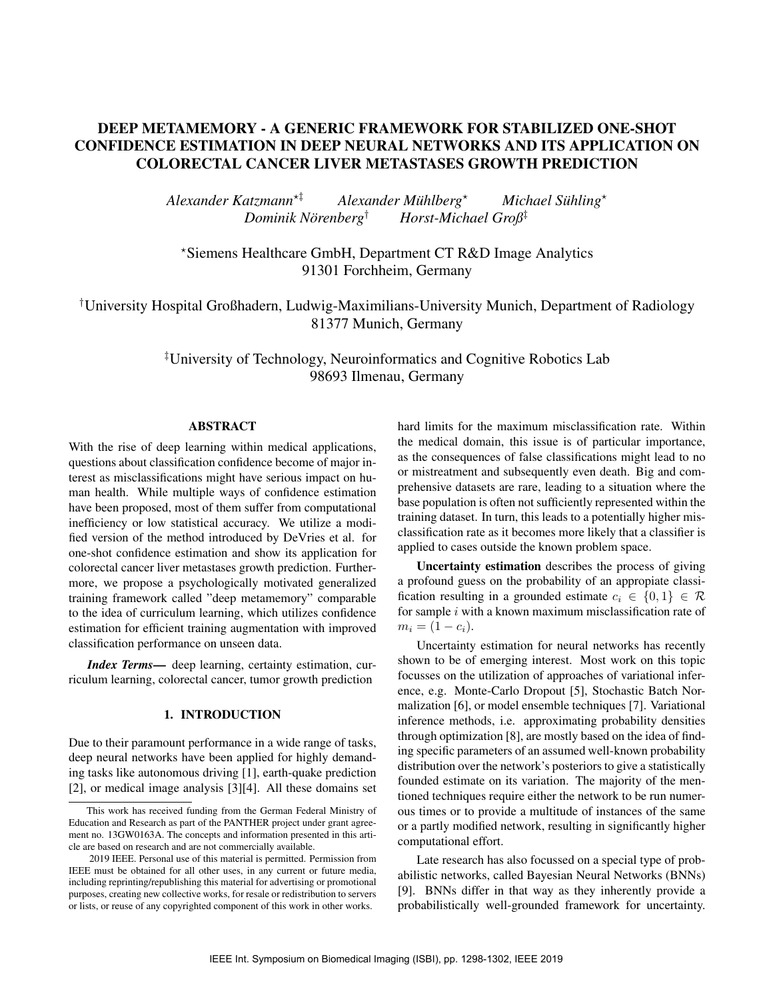# DEEP METAMEMORY - A GENERIC FRAMEWORK FOR STABILIZED ONE-SHOT CONFIDENCE ESTIMATION IN DEEP NEURAL NETWORKS AND ITS APPLICATION ON COLORECTAL CANCER LIVER METASTASES GROWTH PREDICTION

*Alexander Katzmann*?‡ *Alexander Muhlberg ¨* ? *Michael Suhling ¨* ? *Dominik Norenberg ¨* † *Horst-Michael Groß*‡

?Siemens Healthcare GmbH, Department CT R&D Image Analytics 91301 Forchheim, Germany

†University Hospital Großhadern, Ludwig-Maximilians-University Munich, Department of Radiology 81377 Munich, Germany

> ‡University of Technology, Neuroinformatics and Cognitive Robotics Lab 98693 Ilmenau, Germany

## ABSTRACT

With the rise of deep learning within medical applications, questions about classification confidence become of major interest as misclassifications might have serious impact on human health. While multiple ways of confidence estimation have been proposed, most of them suffer from computational inefficiency or low statistical accuracy. We utilize a modified version of the method introduced by DeVries et al. for one-shot confidence estimation and show its application for colorectal cancer liver metastases growth prediction. Furthermore, we propose a psychologically motivated generalized training framework called "deep metamemory" comparable to the idea of curriculum learning, which utilizes confidence estimation for efficient training augmentation with improved classification performance on unseen data.

*Index Terms*— deep learning, certainty estimation, curriculum learning, colorectal cancer, tumor growth prediction

# 1. INTRODUCTION

Due to their paramount performance in a wide range of tasks, deep neural networks have been applied for highly demanding tasks like autonomous driving [1], earth-quake prediction [2], or medical image analysis [3][4]. All these domains set hard limits for the maximum misclassification rate. Within the medical domain, this issue is of particular importance, as the consequences of false classifications might lead to no or mistreatment and subsequently even death. Big and comprehensive datasets are rare, leading to a situation where the base population is often not sufficiently represented within the training dataset. In turn, this leads to a potentially higher misclassification rate as it becomes more likely that a classifier is applied to cases outside the known problem space.

Uncertainty estimation describes the process of giving a profound guess on the probability of an appropiate classification resulting in a grounded estimate  $c_i \in \{0, 1\} \in \mathcal{R}$ for sample  $i$  with a known maximum misclassification rate of  $m_i = (1 - c_i).$ 

Uncertainty estimation for neural networks has recently shown to be of emerging interest. Most work on this topic focusses on the utilization of approaches of variational inference, e.g. Monte-Carlo Dropout [5], Stochastic Batch Normalization [6], or model ensemble techniques [7]. Variational inference methods, i.e. approximating probability densities through optimization [8], are mostly based on the idea of finding specific parameters of an assumed well-known probability distribution over the network's posteriors to give a statistically founded estimate on its variation. The majority of the mentioned techniques require either the network to be run numerous times or to provide a multitude of instances of the same or a partly modified network, resulting in significantly higher computational effort.

Late research has also focussed on a special type of probabilistic networks, called Bayesian Neural Networks (BNNs) [9]. BNNs differ in that way as they inherently provide a probabilistically well-grounded framework for uncertainty.

This work has received funding from the German Federal Ministry of Education and Research as part of the PANTHER project under grant agreement no. 13GW0163A. The concepts and information presented in this article are based on research and are not commercially available.

<sup>2019</sup> IEEE. Personal use of this material is permitted. Permission from IEEE must be obtained for all other uses, in any current or future media, including reprinting/republishing this material for advertising or promotional purposes, creating new collective works, for resale or redistribution to servers or lists, or reuse of any copyrighted component of this work in other works.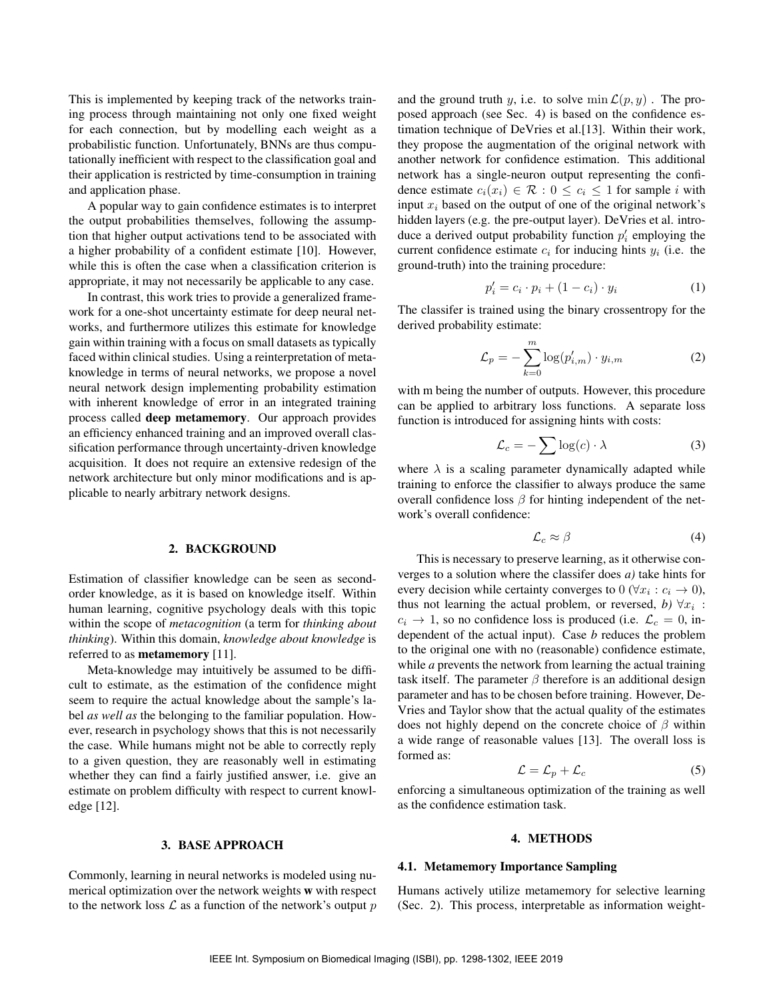This is implemented by keeping track of the networks training process through maintaining not only one fixed weight for each connection, but by modelling each weight as a probabilistic function. Unfortunately, BNNs are thus computationally inefficient with respect to the classification goal and their application is restricted by time-consumption in training and application phase.

A popular way to gain confidence estimates is to interpret the output probabilities themselves, following the assumption that higher output activations tend to be associated with a higher probability of a confident estimate [10]. However, while this is often the case when a classification criterion is appropriate, it may not necessarily be applicable to any case.

In contrast, this work tries to provide a generalized framework for a one-shot uncertainty estimate for deep neural networks, and furthermore utilizes this estimate for knowledge gain within training with a focus on small datasets as typically faced within clinical studies. Using a reinterpretation of metaknowledge in terms of neural networks, we propose a novel neural network design implementing probability estimation with inherent knowledge of error in an integrated training process called deep metamemory. Our approach provides an efficiency enhanced training and an improved overall classification performance through uncertainty-driven knowledge acquisition. It does not require an extensive redesign of the network architecture but only minor modifications and is applicable to nearly arbitrary network designs.

#### 2. BACKGROUND

Estimation of classifier knowledge can be seen as secondorder knowledge, as it is based on knowledge itself. Within human learning, cognitive psychology deals with this topic within the scope of *metacognition* (a term for *thinking about thinking*). Within this domain, *knowledge about knowledge* is referred to as metamemory [11].

Meta-knowledge may intuitively be assumed to be difficult to estimate, as the estimation of the confidence might seem to require the actual knowledge about the sample's label *as well as* the belonging to the familiar population. However, research in psychology shows that this is not necessarily the case. While humans might not be able to correctly reply to a given question, they are reasonably well in estimating whether they can find a fairly justified answer, i.e. give an estimate on problem difficulty with respect to current knowledge [12].

#### 3. BASE APPROACH

Commonly, learning in neural networks is modeled using numerical optimization over the network weights w with respect to the network loss  $\mathcal L$  as a function of the network's output p and the ground truth y, i.e. to solve min  $\mathcal{L}(p, y)$ . The proposed approach (see Sec. 4) is based on the confidence estimation technique of DeVries et al.[13]. Within their work, they propose the augmentation of the original network with another network for confidence estimation. This additional network has a single-neuron output representing the confidence estimate  $c_i(x_i) \in \mathcal{R} : 0 \leq c_i \leq 1$  for sample i with input  $x_i$  based on the output of one of the original network's hidden layers (e.g. the pre-output layer). DeVries et al. introduce a derived output probability function  $p'_i$  employing the current confidence estimate  $c_i$  for inducing hints  $y_i$  (i.e. the ground-truth) into the training procedure:

$$
p_i' = c_i \cdot p_i + (1 - c_i) \cdot y_i \tag{1}
$$

The classifer is trained using the binary crossentropy for the derived probability estimate:

$$
\mathcal{L}_p = -\sum_{k=0}^m \log(p'_{i,m}) \cdot y_{i,m} \tag{2}
$$

with m being the number of outputs. However, this procedure can be applied to arbitrary loss functions. A separate loss function is introduced for assigning hints with costs:

$$
\mathcal{L}_c = -\sum \log(c) \cdot \lambda \tag{3}
$$

where  $\lambda$  is a scaling parameter dynamically adapted while training to enforce the classifier to always produce the same overall confidence loss  $\beta$  for hinting independent of the network's overall confidence:

$$
\mathcal{L}_c \approx \beta \tag{4}
$$

This is necessary to preserve learning, as it otherwise converges to a solution where the classifer does *a)* take hints for every decision while certainty converges to  $0 \, (\forall x_i : c_i \to 0)$ , thus not learning the actual problem, or reversed, *b*)  $\forall x_i$ :  $c_i \rightarrow 1$ , so no confidence loss is produced (i.e.  $\mathcal{L}_c = 0$ , independent of the actual input). Case *b* reduces the problem to the original one with no (reasonable) confidence estimate, while *a* prevents the network from learning the actual training task itself. The parameter  $\beta$  therefore is an additional design parameter and has to be chosen before training. However, De-Vries and Taylor show that the actual quality of the estimates does not highly depend on the concrete choice of  $\beta$  within a wide range of reasonable values [13]. The overall loss is formed as:

$$
\mathcal{L} = \mathcal{L}_p + \mathcal{L}_c \tag{5}
$$

enforcing a simultaneous optimization of the training as well as the confidence estimation task.

#### 4. METHODS

### 4.1. Metamemory Importance Sampling

Humans actively utilize metamemory for selective learning (Sec. 2). This process, interpretable as information weight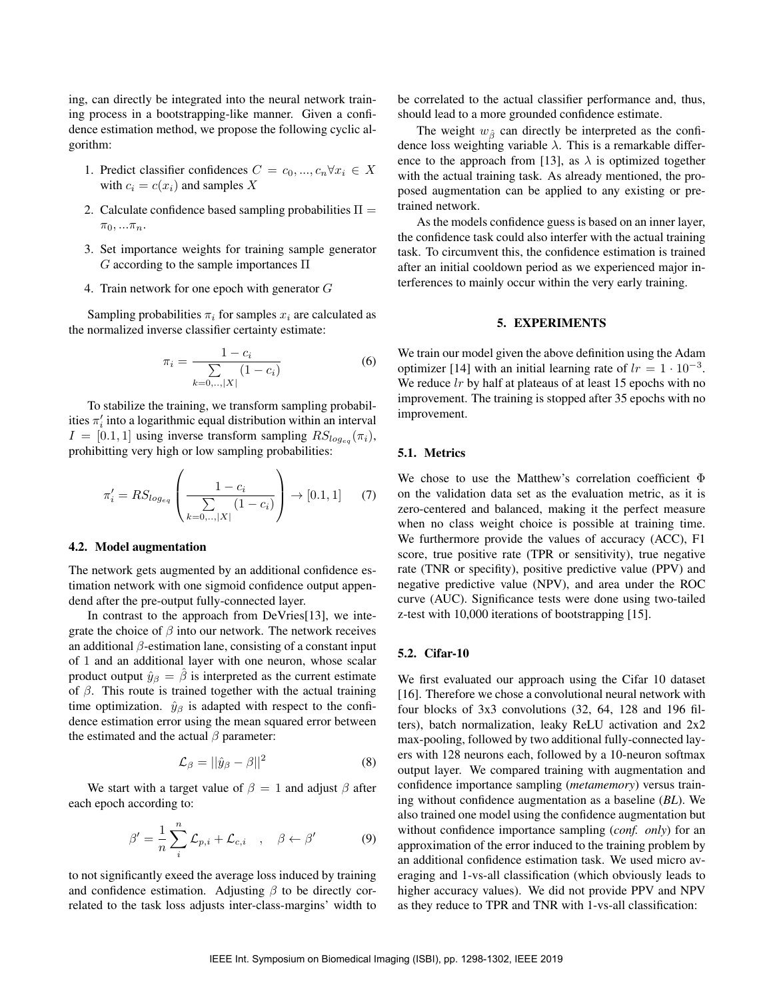ing, can directly be integrated into the neural network training process in a bootstrapping-like manner. Given a confidence estimation method, we propose the following cyclic algorithm:

- 1. Predict classifier confidences  $C = c_0, ..., c_n \forall x_i \in X$ with  $c_i = c(x_i)$  and samples X
- 2. Calculate confidence based sampling probabilities  $\Pi =$  $\pi_0, \ldots \pi_n$ .
- 3. Set importance weights for training sample generator  $G$  according to the sample importances  $\Pi$
- 4. Train network for one epoch with generator G

Sampling probabilities  $\pi_i$  for samples  $x_i$  are calculated as the normalized inverse classifier certainty estimate:

$$
\pi_i = \frac{1 - c_i}{\sum_{k=0,\dots,|X|} (1 - c_i)}\tag{6}
$$

To stabilize the training, we transform sampling probabilities  $\pi'_i$  into a logarithmic equal distribution within an interval  $I = [0.1, 1]$  using inverse transform sampling  $RS_{log_{eq}}(\pi_i)$ , prohibitting very high or low sampling probabilities:

$$
\pi'_{i} = RS_{log_{eq}}\left(\frac{1 - c_{i}}{\sum\limits_{k=0,..,|X|} (1 - c_{i})}\right) \to [0.1, 1] \tag{7}
$$

## 4.2. Model augmentation

The network gets augmented by an additional confidence estimation network with one sigmoid confidence output appendend after the pre-output fully-connected layer.

In contrast to the approach from DeVries<sup>[13]</sup>, we integrate the choice of  $\beta$  into our network. The network receives an additional  $\beta$ -estimation lane, consisting of a constant input of 1 and an additional layer with one neuron, whose scalar product output  $\hat{y}_{\beta} = \hat{\beta}$  is interpreted as the current estimate of  $\beta$ . This route is trained together with the actual training time optimization.  $\hat{y}_{\beta}$  is adapted with respect to the confidence estimation error using the mean squared error between the estimated and the actual  $\beta$  parameter:

$$
\mathcal{L}_{\beta} = ||\hat{y}_{\beta} - \beta||^2 \tag{8}
$$

We start with a target value of  $\beta = 1$  and adjust  $\beta$  after each epoch according to:

$$
\beta' = \frac{1}{n} \sum_{i}^{n} \mathcal{L}_{p,i} + \mathcal{L}_{c,i} \quad , \quad \beta \leftarrow \beta' \tag{9}
$$

to not significantly exeed the average loss induced by training and confidence estimation. Adjusting  $\beta$  to be directly correlated to the task loss adjusts inter-class-margins' width to be correlated to the actual classifier performance and, thus, should lead to a more grounded confidence estimate.

The weight  $w_{\hat{\beta}}$  can directly be interpreted as the confidence loss weighting variable  $\lambda$ . This is a remarkable difference to the approach from [13], as  $\lambda$  is optimized together with the actual training task. As already mentioned, the proposed augmentation can be applied to any existing or pretrained network.

As the models confidence guess is based on an inner layer, the confidence task could also interfer with the actual training task. To circumvent this, the confidence estimation is trained after an initial cooldown period as we experienced major interferences to mainly occur within the very early training.

#### 5. EXPERIMENTS

We train our model given the above definition using the Adam optimizer [14] with an initial learning rate of  $lr = 1 \cdot 10^{-3}$ . We reduce  $lr$  by half at plateaus of at least 15 epochs with no improvement. The training is stopped after 35 epochs with no improvement.

## 5.1. Metrics

We chose to use the Matthew's correlation coefficient Φ on the validation data set as the evaluation metric, as it is zero-centered and balanced, making it the perfect measure when no class weight choice is possible at training time. We furthermore provide the values of accuracy (ACC), F1 score, true positive rate (TPR or sensitivity), true negative rate (TNR or specifity), positive predictive value (PPV) and negative predictive value (NPV), and area under the ROC curve (AUC). Significance tests were done using two-tailed z-test with 10,000 iterations of bootstrapping [15].

# 5.2. Cifar-10

We first evaluated our approach using the Cifar 10 dataset [16]. Therefore we chose a convolutional neural network with four blocks of 3x3 convolutions (32, 64, 128 and 196 filters), batch normalization, leaky ReLU activation and 2x2 max-pooling, followed by two additional fully-connected layers with 128 neurons each, followed by a 10-neuron softmax output layer. We compared training with augmentation and confidence importance sampling (*metamemory*) versus training without confidence augmentation as a baseline (*BL*). We also trained one model using the confidence augmentation but without confidence importance sampling (*conf. only*) for an approximation of the error induced to the training problem by an additional confidence estimation task. We used micro averaging and 1-vs-all classification (which obviously leads to higher accuracy values). We did not provide PPV and NPV as they reduce to TPR and TNR with 1-vs-all classification: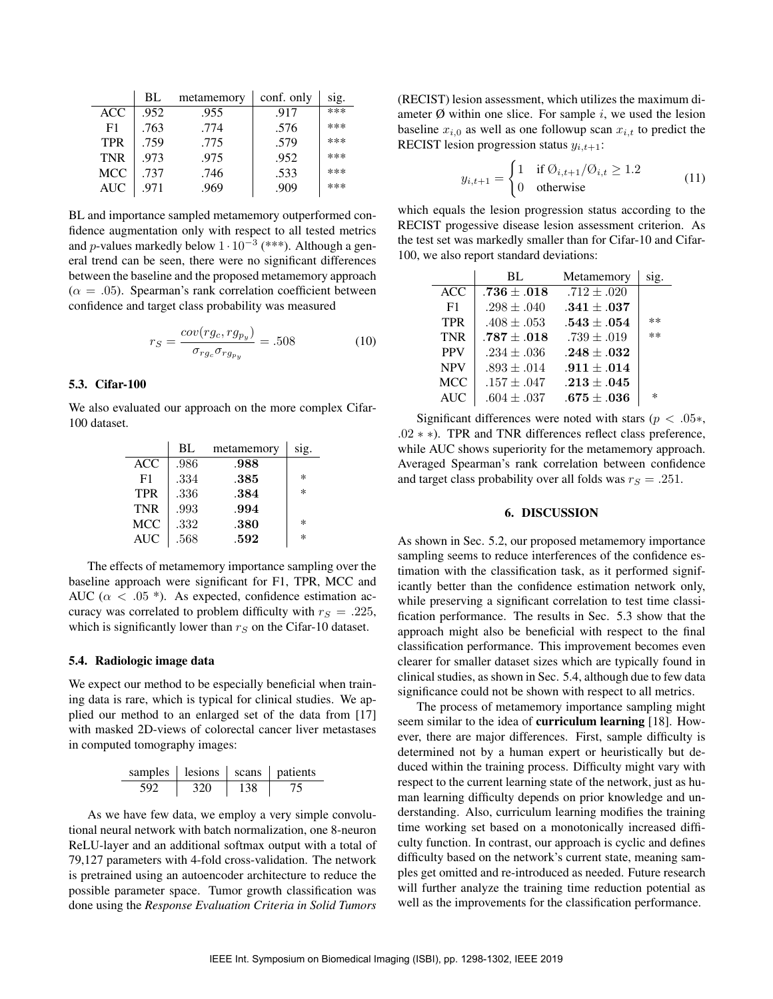|                | BL   | metamemory | conf. only | sig. |
|----------------|------|------------|------------|------|
| <b>ACC</b>     | .952 | .955       | .917       | ***  |
| F <sub>1</sub> | .763 | .774       | .576       | ***  |
| <b>TPR</b>     | .759 | .775       | .579       | ***  |
| <b>TNR</b>     | .973 | .975       | .952       | ***  |
| <b>MCC</b>     | .737 | .746       | .533       | ***  |
| <b>AUC</b>     | .971 | .969       | .909       | ***  |

BL and importance sampled metamemory outperformed confidence augmentation only with respect to all tested metrics and *p*-values markedly below  $1 \cdot 10^{-3}$  (\*\*\*). Although a general trend can be seen, there were no significant differences between the baseline and the proposed metamemory approach  $(\alpha = .05)$ . Spearman's rank correlation coefficient between confidence and target class probability was measured

$$
r_S = \frac{cov(rg_c, rg_{py})}{\sigma_{rg_c}\sigma_{rg_{py}}} = .508\tag{10}
$$

# 5.3. Cifar-100

We also evaluated our approach on the more complex Cifar-100 dataset.

|            | BL   | metamemory | sig.   |
|------------|------|------------|--------|
| ACC        | .986 | .988       |        |
| F1         | .334 | .385       | *      |
| <b>TPR</b> | .336 | .384       | $\ast$ |
| <b>TNR</b> | .993 | .994       |        |
| <b>MCC</b> | .332 | .380       | $\ast$ |
| <b>AUC</b> | .568 | .592       | $\ast$ |

The effects of metamemory importance sampling over the baseline approach were significant for F1, TPR, MCC and AUC ( $\alpha$  < .05 \*). As expected, confidence estimation accuracy was correlated to problem difficulty with  $r_S = .225$ , which is significantly lower than  $r<sub>S</sub>$  on the Cifar-10 dataset.

### 5.4. Radiologic image data

We expect our method to be especially beneficial when training data is rare, which is typical for clinical studies. We applied our method to an enlarged set of the data from [17] with masked 2D-views of colorectal cancer liver metastases in computed tomography images:

| samples | lesions | scans | <i>natients</i> |
|---------|---------|-------|-----------------|
| 592     | 320     | 138   |                 |

As we have few data, we employ a very simple convolutional neural network with batch normalization, one 8-neuron ReLU-layer and an additional softmax output with a total of 79,127 parameters with 4-fold cross-validation. The network is pretrained using an autoencoder architecture to reduce the possible parameter space. Tumor growth classification was done using the *Response Evaluation Criteria in Solid Tumors*

(RECIST) lesion assessment, which utilizes the maximum diameter  $\emptyset$  within one slice. For sample i, we used the lesion baseline  $x_{i,0}$  as well as one followup scan  $x_{i,t}$  to predict the RECIST lesion progression status  $y_{i,t+1}$ :

$$
y_{i,t+1} = \begin{cases} 1 & \text{if } \emptyset_{i,t+1}/\emptyset_{i,t} \ge 1.2 \\ 0 & \text{otherwise} \end{cases}
$$
 (11)

which equals the lesion progression status according to the RECIST progessive disease lesion assessment criterion. As the test set was markedly smaller than for Cifar-10 and Cifar-100, we also report standard deviations:

|            | BL              | Metamemory      | S <sub>1</sub> g. |
|------------|-----------------|-----------------|-------------------|
| <b>ACC</b> | $.736\pm.018$   | $.712 \pm .020$ |                   |
| F1         | $.298 \pm .040$ | $.341\pm.037$   |                   |
| <b>TPR</b> | $.408 \pm .053$ | $.543 \pm .054$ | $***$             |
| <b>TNR</b> | $.787\pm.018$   | $.739 \pm .019$ | **                |
| <b>PPV</b> | $.234 \pm .036$ | $.248 \pm .032$ |                   |
| <b>NPV</b> | $.893 \pm .014$ | $.911 \pm .014$ |                   |
| <b>MCC</b> | $.157 \pm .047$ | $.213 \pm .045$ |                   |
| <b>AUC</b> | $.604 \pm .037$ | $.675\pm.036$   | $\ast$            |

Significant differences were noted with stars ( $p < .05*$ , .02 ∗ ∗). TPR and TNR differences reflect class preference, while AUC shows superiority for the metamemory approach. Averaged Spearman's rank correlation between confidence and target class probability over all folds was  $r_S = .251$ .

#### 6. DISCUSSION

As shown in Sec. 5.2, our proposed metamemory importance sampling seems to reduce interferences of the confidence estimation with the classification task, as it performed significantly better than the confidence estimation network only, while preserving a significant correlation to test time classification performance. The results in Sec. 5.3 show that the approach might also be beneficial with respect to the final classification performance. This improvement becomes even clearer for smaller dataset sizes which are typically found in clinical studies, as shown in Sec. 5.4, although due to few data significance could not be shown with respect to all metrics.

The process of metamemory importance sampling might seem similar to the idea of curriculum learning [18]. However, there are major differences. First, sample difficulty is determined not by a human expert or heuristically but deduced within the training process. Difficulty might vary with respect to the current learning state of the network, just as human learning difficulty depends on prior knowledge and understanding. Also, curriculum learning modifies the training time working set based on a monotonically increased difficulty function. In contrast, our approach is cyclic and defines difficulty based on the network's current state, meaning samples get omitted and re-introduced as needed. Future research will further analyze the training time reduction potential as well as the improvements for the classification performance.